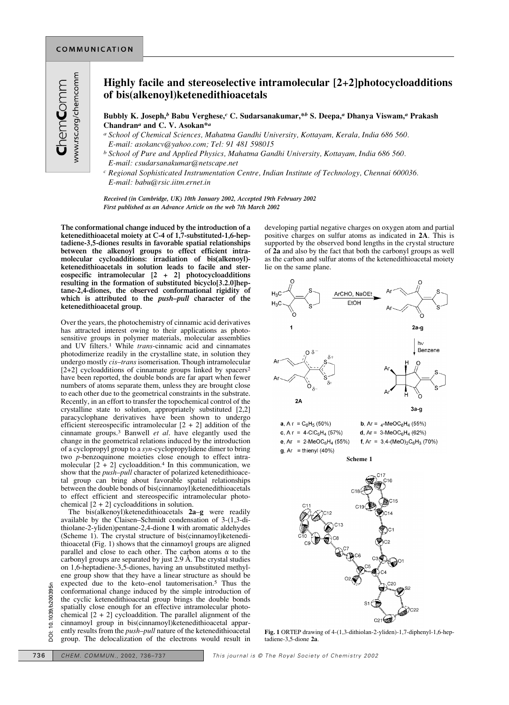## **Highly facile and stereoselective intramolecular [2+2]photocycloadditions of bis(alkenoyl)ketenedithioacetals**

**Bubbly K. Joseph,***<sup>b</sup>* **Babu Verghese,***<sup>c</sup>* **C. Sudarsanakumar,\****<sup>b</sup>* **S. Deepa,***<sup>a</sup>* **Dhanya Viswam,***<sup>a</sup>* **Prakash Chandran***<sup>a</sup>* **and C. V. Asokan\****<sup>a</sup>*

- *a School of Chemical Sciences, Mahatma Gandhi University, Kottayam, Kerala, India 686 560. E-mail: asokancv@yahoo.com; Tel: 91 481 598015*
- *b School of Pure and Applied Physics, Mahatma Gandhi University, Kottayam, India 686 560. E-mail: csudarsanakumar@netscape.net*
- *c Regional Sophisticated Instrumentation Centre, Indian Institute of Technology, Chennai 600036. E-mail: babu@rsic.iitm.ernet.in*

*Received (in Cambridge, UK) 10th January 2002, Accepted 19th February 2002 First published as an Advance Article on the web 7th March 2002*

**The conformational change induced by the introduction of a ketenedithioacetal moiety at C-4 of 1,7-substituted-1,6-heptadiene-3,5-diones results in favorable spatial relationships between the alkenoyl groups to effect efficient intramolecular cycloadditions: irradiation of bis(alkenoyl) ketenedithioacetals in solution leads to facile and stereospecific intramolecular [2 + 2] photocycloadditions resulting in the formation of substituted bicyclo[3.2.0]heptane-2,4-diones, the observed conformational rigidity of which is attributed to the** *push–pull* **character of the ketenedithioacetal group.**

Over the years, the photochemistry of cinnamic acid derivatives has attracted interest owing to their applications as photosensitive groups in polymer materials, molecular assemblies and UV filters.1 While *trans*-cinnamic acid and cinnamates photodimerize readily in the crystalline state, in solution they undergo mostly *cis–trans* isomerisation. Though intramolecular [2+2] cycloadditions of cinnamate groups linked by spacers<sup>2</sup> have been reported, the double bonds are far apart when fewer numbers of atoms separate them, unless they are brought close to each other due to the geometrical constraints in the substrate. Recently, in an effort to transfer the topochemical control of the crystalline state to solution, appropriately substituted [2,2] paracyclophane derivatives have been shown to undergo efficient stereospecific intramolecular  $[2 + 2]$  addition of the cinnamate groups.3 Banwell *et al*. have elegantly used the change in the geometrical relations induced by the introduction of a cyclopropyl group to a *syn*-cyclopropylidene dimer to bring two *p*-benzoquinone moieties close enough to effect intramolecular  $[2 + 2]$  cycloaddition.<sup>4</sup> In this communication, we show that the *push–pull* character of polarized ketenedithioacetal group can bring about favorable spatial relationships between the double bonds of bis(cinnamoyl)ketenedithioacetals to effect efficient and stereospecific intramolecular photochemical  $[2 + 2]$  cycloadditions in solution.

The bis(alkenoyl)ketenedithioacetals **2a**–**g** were readily available by the Claisen–Schmidt condensation of 3-(1,3-dithiolane-2-yliden)pentane-2,4-dione **1** with aromatic aldehydes (Scheme 1). The crystal structure of bis(cinnamoyl)ketenedithioacetal (Fig. 1) shows that the cinnamoyl groups are aligned parallel and close to each other. The carbon atoms  $\alpha$  to the carbonyl groups are separated by just 2.9 Å. The crystal studies on 1,6-heptadiene-3,5-diones, having an unsubstituted methylene group show that they have a linear structure as should be expected due to the keto–enol tautomerisation.5 Thus the conformational change induced by the simple introduction of the cyclic ketenedithioacetal group brings the double bonds spatially close enough for an effective intramolecular photochemical  $[2 + 2]$  cycloaddition. The parallel alignment of the cinnamoyl group in bis(cinnamoyl)ketenedithioacetal apparently results from the *push–pull* nature of the ketenedithioacetal group. The delocalization of the electrons would result in Expected due to the keto-enot latitumnersation.<sup>3</sup> Thus the<br>
conformational change induced by the simple introduction of<br>
Societive intramology brings the double bonds<br>
Societive intramology of an effective intramology of

developing partial negative charges on oxygen atom and partial positive charges on sulfur atoms as indicated in **2A**. This is supported by the observed bond lengths in the crystal structure of **2a** and also by the fact that both the carbonyl groups as well as the carbon and sulfur atoms of the ketenedithioacetal moiety lie on the same plane.



**Fig. 1** ORTEP drawing of 4-(1,3-dithiolan-2-yliden)-1,7-diphenyl-1,6-heptadiene-3,5-dione **2a**.

 $C22$